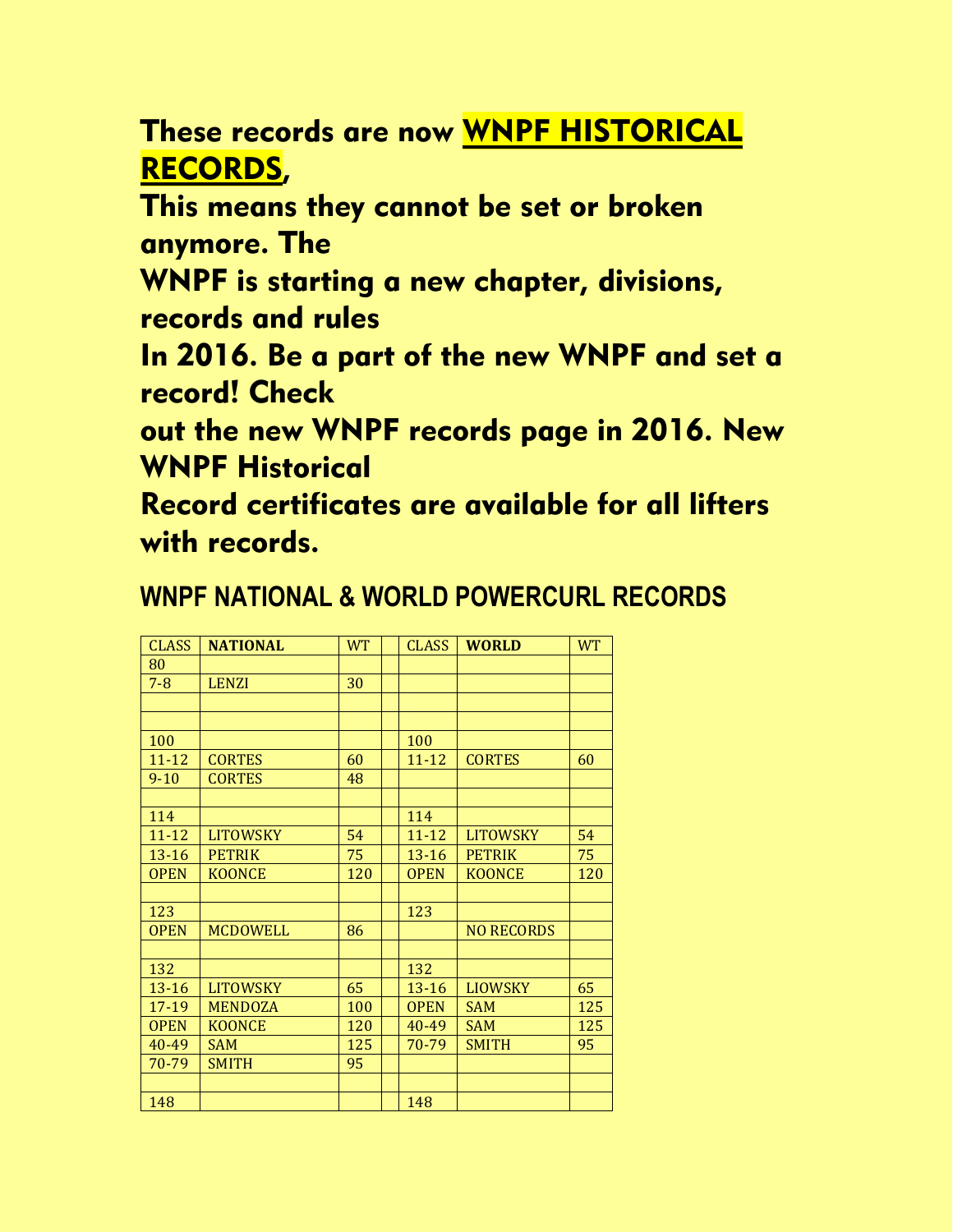## These records are now WNPF HISTORICAL RECORDS,

This means they cannot be set or broken anymore. The

WNPF is starting a new chapter, divisions, records and rules

In 2016. Be a part of the new WNPF and set a record! Check

out the new WNPF records page in 2016. New WNPF Historical

Record certificates are available for all lifters with records.

## **WNPF NATIONAL & WORLD POWERCURL RECORDS**

| <b>CLASS</b> | <b>NATIONAL</b> | <b>WT</b> | <b>CLASS</b> | <b>WORLD</b>      | <b>WT</b> |
|--------------|-----------------|-----------|--------------|-------------------|-----------|
| 80           |                 |           |              |                   |           |
| $7 - 8$      | <b>LENZI</b>    | 30        |              |                   |           |
|              |                 |           |              |                   |           |
|              |                 |           |              |                   |           |
| 100          |                 |           | 100          |                   |           |
| $11 - 12$    | <b>CORTES</b>   | 60        | $11 - 12$    | <b>CORTES</b>     | 60        |
| $9 - 10$     | <b>CORTES</b>   | 48        |              |                   |           |
|              |                 |           |              |                   |           |
| 114          |                 |           | 114          |                   |           |
| $11 - 12$    | <b>LITOWSKY</b> | 54        | $11 - 12$    | <b>LITOWSKY</b>   | 54        |
| $13 - 16$    | <b>PETRIK</b>   | 75        | $13 - 16$    | <b>PETRIK</b>     | 75        |
| <b>OPEN</b>  | <b>KOONCE</b>   | 120       | <b>OPEN</b>  | <b>KOONCE</b>     | 120       |
|              |                 |           |              |                   |           |
| 123          |                 |           | 123          |                   |           |
| <b>OPEN</b>  | <b>MCDOWELL</b> | 86        |              | <b>NO RECORDS</b> |           |
|              |                 |           |              |                   |           |
| 132          |                 |           | 132          |                   |           |
| $13 - 16$    | <b>LITOWSKY</b> | 65        | $13 - 16$    | <b>LIOWSKY</b>    | 65        |
| 17-19        | <b>MENDOZA</b>  | 100       | <b>OPEN</b>  | <b>SAM</b>        | 125       |
| <b>OPEN</b>  | <b>KOONCE</b>   | 120       | 40-49        | <b>SAM</b>        | 125       |
| $40 - 49$    | <b>SAM</b>      | 125       | 70-79        | <b>SMITH</b>      | 95        |
| 70-79        | <b>SMITH</b>    | 95        |              |                   |           |
|              |                 |           |              |                   |           |
| 148          |                 |           | 148          |                   |           |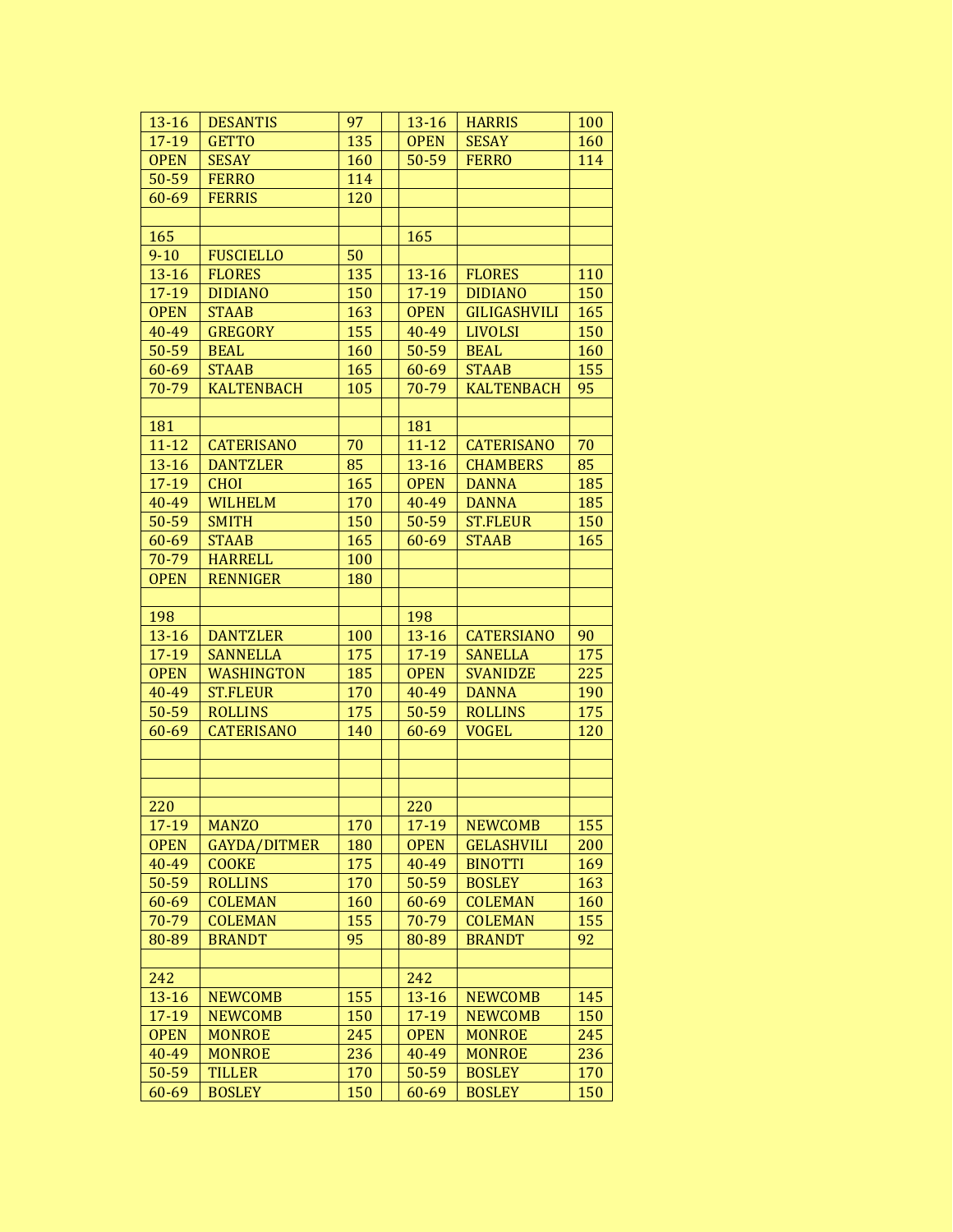| $13 - 16$   | <b>DESANTIS</b>                     | 97  | $13 - 16$   | <b>HARRIS</b>       | 100 |
|-------------|-------------------------------------|-----|-------------|---------------------|-----|
| 17-19       | <b>GETTO</b>                        | 135 | <b>OPEN</b> | <b>SESAY</b>        | 160 |
| <b>OPEN</b> | <b>SESAY</b>                        | 160 | 50-59       | <b>FERRO</b>        | 114 |
| 50-59       | <b>FERRO</b>                        | 114 |             |                     |     |
| 60-69       | <b>FERRIS</b>                       | 120 |             |                     |     |
|             |                                     |     |             |                     |     |
| 165         |                                     |     | 165         |                     |     |
| $9 - 10$    | <b>FUSCIELLO</b>                    | 50  |             |                     |     |
| $13 - 16$   | <b>FLORES</b>                       | 135 | 13-16       | <b>FLORES</b>       | 110 |
| 17-19       | <b>DIDIANO</b>                      | 150 | $17 - 19$   | <b>DIDIANO</b>      | 150 |
| <b>OPEN</b> | <b>STAAB</b>                        | 163 | <b>OPEN</b> | <b>GILIGASHVILI</b> | 165 |
| 40-49       | <b>GREGORY</b>                      | 155 | 40-49       | <b>LIVOLSI</b>      | 150 |
| 50-59       | <b>BEAL</b>                         | 160 | 50-59       | <b>BEAL</b>         | 160 |
| 60-69       | <b>STAAB</b>                        | 165 | 60-69       | <b>STAAB</b>        | 155 |
| 70-79       | <b>KALTENBACH</b>                   | 105 | 70-79       | <b>KALTENBACH</b>   | 95  |
|             |                                     |     |             |                     |     |
| 181         |                                     |     | 181         |                     |     |
| $11 - 12$   | <b>CATERISANO</b>                   | 70  | $11 - 12$   | <b>CATERISANO</b>   | 70  |
| $13 - 16$   | <b>DANTZLER</b>                     | 85  | $13 - 16$   | <b>CHAMBERS</b>     | 85  |
| 17-19       | <b>CHOI</b>                         | 165 | <b>OPEN</b> | <b>DANNA</b>        | 185 |
| 40-49       | <b>WILHELM</b>                      | 170 | 40-49       | <b>DANNA</b>        | 185 |
| 50-59       | <b>SMITH</b>                        | 150 | 50-59       | <b>ST.FLEUR</b>     | 150 |
| 60-69       | <b>STAAB</b>                        | 165 | 60-69       | <b>STAAB</b>        | 165 |
| 70-79       | <b>HARRELL</b>                      | 100 |             |                     |     |
| <b>OPEN</b> | <b>RENNIGER</b>                     | 180 |             |                     |     |
|             |                                     |     |             |                     |     |
| 198         |                                     |     | 198         |                     |     |
| $13 - 16$   | <b>DANTZLER</b>                     | 100 | $13 - 16$   | <b>CATERSIANO</b>   | 90  |
| 17-19       | <b>SANNELLA</b>                     | 175 | 17-19       | <b>SANELLA</b>      | 175 |
| <b>OPEN</b> | <b>WASHINGTON</b>                   | 185 | <b>OPEN</b> | <b>SVANIDZE</b>     | 225 |
| 40-49       | <b>ST.FLEUR</b>                     | 170 | 40-49       | <b>DANNA</b>        | 190 |
| 50-59       | <b>ROLLINS</b>                      | 175 | 50-59       | <b>ROLLINS</b>      | 175 |
| 60-69       | <b>CATERISANO</b>                   | 140 | 60-69       | <b>VOGEL</b>        | 120 |
|             |                                     |     |             |                     |     |
|             |                                     |     |             |                     |     |
|             |                                     |     |             |                     |     |
|             |                                     |     |             |                     |     |
| 220         |                                     | 170 | 220         | <b>NEWCOMB</b>      | 155 |
| 17-19       | <b>MANZO</b><br><b>GAYDA/DITMER</b> |     | 17-19       |                     |     |
| <b>OPEN</b> |                                     | 180 | <b>OPEN</b> | <b>GELASHVILI</b>   | 200 |
| 40-49       | <b>COOKE</b>                        | 175 | 40-49       | <b>BINOTTI</b>      | 169 |
| 50-59       | <b>ROLLINS</b>                      | 170 | 50-59       | <b>BOSLEY</b>       | 163 |
| 60-69       | <b>COLEMAN</b>                      | 160 | 60-69       | <b>COLEMAN</b>      | 160 |
| 70-79       | <b>COLEMAN</b>                      | 155 | 70-79       | <b>COLEMAN</b>      | 155 |
| 80-89       | <b>BRANDT</b>                       | 95  | 80-89       | <b>BRANDT</b>       | 92  |
|             |                                     |     | 242         |                     |     |
| 242         |                                     |     |             |                     |     |
| $13 - 16$   | <b>NEWCOMB</b>                      | 155 | $13 - 16$   | <b>NEWCOMB</b>      | 145 |
| 17-19       | <b>NEWCOMB</b>                      | 150 | 17-19       | <b>NEWCOMB</b>      | 150 |
| <b>OPEN</b> | <b>MONROE</b>                       | 245 | <b>OPEN</b> | <b>MONROE</b>       | 245 |
| 40-49       | <b>MONROE</b>                       | 236 | 40-49       | <b>MONROE</b>       | 236 |
| 50-59       | <b>TILLER</b>                       | 170 | 50-59       | <b>BOSLEY</b>       | 170 |
| 60-69       | <b>BOSLEY</b>                       | 150 | 60-69       | <b>BOSLEY</b>       | 150 |